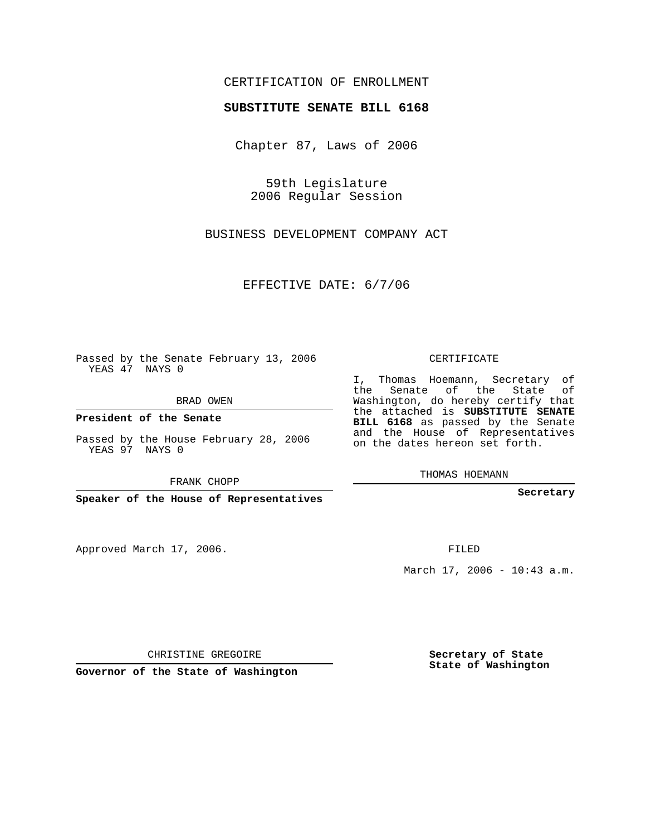## CERTIFICATION OF ENROLLMENT

## **SUBSTITUTE SENATE BILL 6168**

Chapter 87, Laws of 2006

59th Legislature 2006 Regular Session

BUSINESS DEVELOPMENT COMPANY ACT

EFFECTIVE DATE: 6/7/06

Passed by the Senate February 13, 2006 YEAS 47 NAYS 0

BRAD OWEN

**President of the Senate**

Passed by the House February 28, 2006 YEAS 97 NAYS 0

FRANK CHOPP

**Speaker of the House of Representatives**

Approved March 17, 2006.

CERTIFICATE

I, Thomas Hoemann, Secretary of the Senate of the State of Washington, do hereby certify that the attached is **SUBSTITUTE SENATE BILL 6168** as passed by the Senate and the House of Representatives on the dates hereon set forth.

THOMAS HOEMANN

**Secretary**

FILED

March 17, 2006 - 10:43 a.m.

CHRISTINE GREGOIRE

**Governor of the State of Washington**

**Secretary of State State of Washington**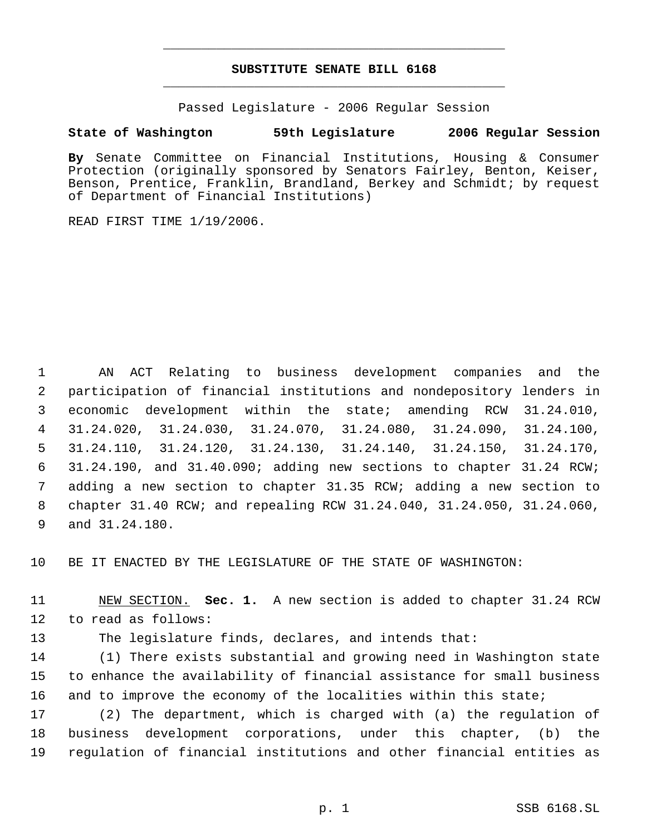## **SUBSTITUTE SENATE BILL 6168** \_\_\_\_\_\_\_\_\_\_\_\_\_\_\_\_\_\_\_\_\_\_\_\_\_\_\_\_\_\_\_\_\_\_\_\_\_\_\_\_\_\_\_\_\_

\_\_\_\_\_\_\_\_\_\_\_\_\_\_\_\_\_\_\_\_\_\_\_\_\_\_\_\_\_\_\_\_\_\_\_\_\_\_\_\_\_\_\_\_\_

Passed Legislature - 2006 Regular Session

## **State of Washington 59th Legislature 2006 Regular Session**

**By** Senate Committee on Financial Institutions, Housing & Consumer Protection (originally sponsored by Senators Fairley, Benton, Keiser, Benson, Prentice, Franklin, Brandland, Berkey and Schmidt; by request of Department of Financial Institutions)

READ FIRST TIME 1/19/2006.

 AN ACT Relating to business development companies and the participation of financial institutions and nondepository lenders in economic development within the state; amending RCW 31.24.010, 31.24.020, 31.24.030, 31.24.070, 31.24.080, 31.24.090, 31.24.100, 31.24.110, 31.24.120, 31.24.130, 31.24.140, 31.24.150, 31.24.170, 31.24.190, and 31.40.090; adding new sections to chapter 31.24 RCW; adding a new section to chapter 31.35 RCW; adding a new section to chapter 31.40 RCW; and repealing RCW 31.24.040, 31.24.050, 31.24.060, and 31.24.180.

10 BE IT ENACTED BY THE LEGISLATURE OF THE STATE OF WASHINGTON:

11 NEW SECTION. **Sec. 1.** A new section is added to chapter 31.24 RCW 12 to read as follows:

13 The legislature finds, declares, and intends that:

14 (1) There exists substantial and growing need in Washington state 15 to enhance the availability of financial assistance for small business 16 and to improve the economy of the localities within this state;

17 (2) The department, which is charged with (a) the regulation of 18 business development corporations, under this chapter, (b) the 19 regulation of financial institutions and other financial entities as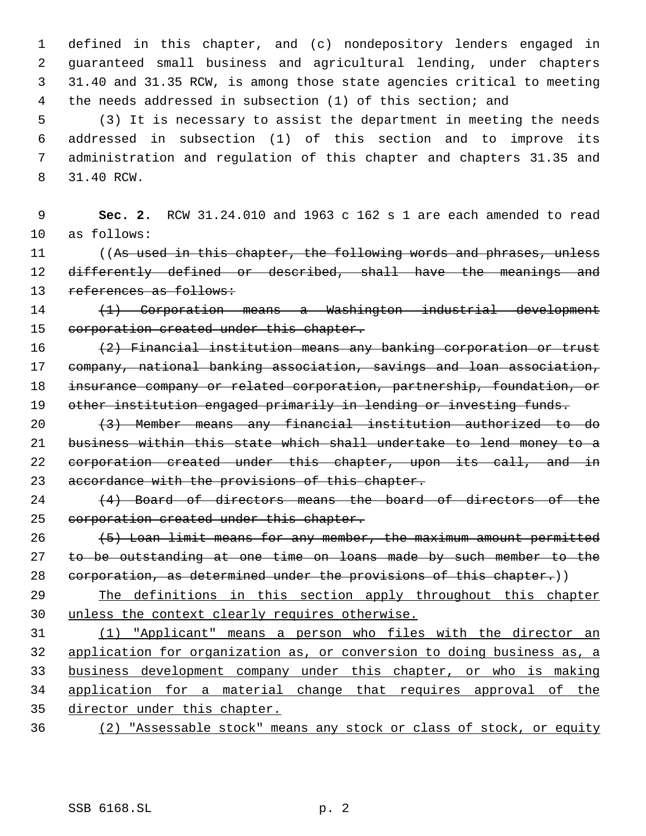defined in this chapter, and (c) nondepository lenders engaged in guaranteed small business and agricultural lending, under chapters 31.40 and 31.35 RCW, is among those state agencies critical to meeting the needs addressed in subsection (1) of this section; and

 (3) It is necessary to assist the department in meeting the needs addressed in subsection (1) of this section and to improve its administration and regulation of this chapter and chapters 31.35 and 31.40 RCW.

 **Sec. 2.** RCW 31.24.010 and 1963 c 162 s 1 are each amended to read as follows:

11 ((As used in this chapter, the following words and phrases, unless 12 differently defined or described, shall have the meanings and 13 references as follows:

 (1) Corporation means a Washington industrial development 15 corporation created under this chapter.

 (2) Financial institution means any banking corporation or trust company, national banking association, savings and loan association, insurance company or related corporation, partnership, foundation, or 19 other institution engaged primarily in lending or investing funds.

 (3) Member means any financial institution authorized to do business within this state which shall undertake to lend money to a 22 corporation created under this chapter, upon its call, and in accordance with the provisions of this chapter.

24 (4) Board of directors means the board of directors of the 25 corporation created under this chapter.

 (5) Loan limit means for any member, the maximum amount permitted 27 to be outstanding at one time on loans made by such member to the 28 corporation, as determined under the provisions of this chapter.)

 The definitions in this section apply throughout this chapter unless the context clearly requires otherwise.

 (1) "Applicant" means a person who files with the director an application for organization as, or conversion to doing business as, a business development company under this chapter, or who is making application for a material change that requires approval of the director under this chapter.

(2) "Assessable stock" means any stock or class of stock, or equity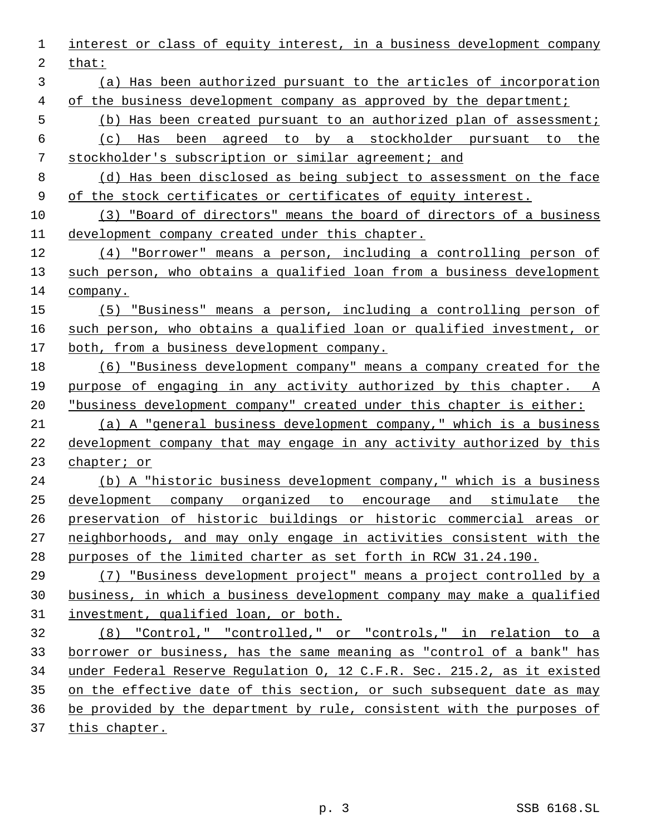interest or class of equity interest, in a business development company that: (a) Has been authorized pursuant to the articles of incorporation 4 of the business development company as approved by the department; (b) Has been created pursuant to an authorized plan of assessment; (c) Has been agreed to by a stockholder pursuant to the stockholder's subscription or similar agreement; and (d) Has been disclosed as being subject to assessment on the face of the stock certificates or certificates of equity interest. (3) "Board of directors" means the board of directors of a business 11 development company created under this chapter. (4) "Borrower" means a person, including a controlling person of such person, who obtains a qualified loan from a business development company. (5) "Business" means a person, including a controlling person of such person, who obtains a qualified loan or qualified investment, or both, from a business development company. (6) "Business development company" means a company created for the purpose of engaging in any activity authorized by this chapter. A "business development company" created under this chapter is either: (a) A "general business development company," which is a business development company that may engage in any activity authorized by this chapter; or (b) A "historic business development company," which is a business development company organized to encourage and stimulate the preservation of historic buildings or historic commercial areas or neighborhoods, and may only engage in activities consistent with the purposes of the limited charter as set forth in RCW 31.24.190. (7) "Business development project" means a project controlled by a business, in which a business development company may make a qualified investment, qualified loan, or both. (8) "Control," "controlled," or "controls," in relation to a borrower or business, has the same meaning as "control of a bank" has under Federal Reserve Regulation O, 12 C.F.R. Sec. 215.2, as it existed on the effective date of this section, or such subsequent date as may be provided by the department by rule, consistent with the purposes of this chapter.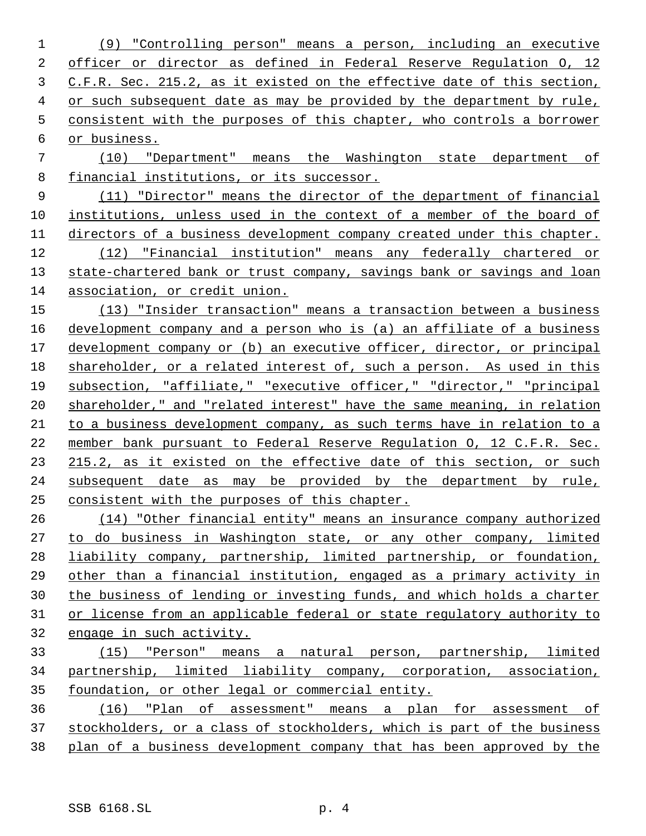(9) "Controlling person" means a person, including an executive officer or director as defined in Federal Reserve Regulation O, 12 C.F.R. Sec. 215.2, as it existed on the effective date of this section, or such subsequent date as may be provided by the department by rule, consistent with the purposes of this chapter, who controls a borrower or business.

 (10) "Department" means the Washington state department of financial institutions, or its successor.

 (11) "Director" means the director of the department of financial institutions, unless used in the context of a member of the board of 11 directors of a business development company created under this chapter. (12) "Financial institution" means any federally chartered or state-chartered bank or trust company, savings bank or savings and loan association, or credit union.

 (13) "Insider transaction" means a transaction between a business development company and a person who is (a) an affiliate of a business development company or (b) an executive officer, director, or principal shareholder, or a related interest of, such a person. As used in this subsection, "affiliate," "executive officer," "director," "principal shareholder," and "related interest" have the same meaning, in relation to a business development company, as such terms have in relation to a member bank pursuant to Federal Reserve Regulation O, 12 C.F.R. Sec. 215.2, as it existed on the effective date of this section, or such subsequent date as may be provided by the department by rule, consistent with the purposes of this chapter.

 (14) "Other financial entity" means an insurance company authorized to do business in Washington state, or any other company, limited liability company, partnership, limited partnership, or foundation, other than a financial institution, engaged as a primary activity in the business of lending or investing funds, and which holds a charter or license from an applicable federal or state regulatory authority to engage in such activity.

 (15) "Person" means a natural person, partnership, limited partnership, limited liability company, corporation, association, foundation, or other legal or commercial entity.

 (16) "Plan of assessment" means a plan for assessment of stockholders, or a class of stockholders, which is part of the business plan of a business development company that has been approved by the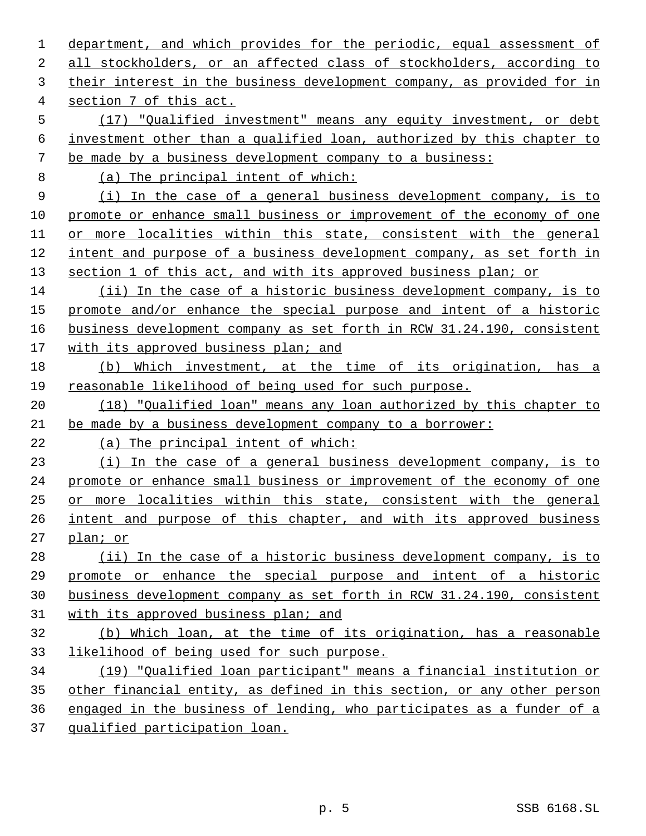department, and which provides for the periodic, equal assessment of all stockholders, or an affected class of stockholders, according to their interest in the business development company, as provided for in section 7 of this act. (17) "Qualified investment" means any equity investment, or debt investment other than a qualified loan, authorized by this chapter to be made by a business development company to a business: (a) The principal intent of which: (i) In the case of a general business development company, is to 10 promote or enhance small business or improvement of the economy of one or more localities within this state, consistent with the general intent and purpose of a business development company, as set forth in 13 section 1 of this act, and with its approved business plan; or (ii) In the case of a historic business development company, is to promote and/or enhance the special purpose and intent of a historic business development company as set forth in RCW 31.24.190, consistent 17 with its approved business plan; and (b) Which investment, at the time of its origination, has a reasonable likelihood of being used for such purpose. (18) "Qualified loan" means any loan authorized by this chapter to be made by a business development company to a borrower: (a) The principal intent of which: (i) In the case of a general business development company, is to promote or enhance small business or improvement of the economy of one or more localities within this state, consistent with the general intent and purpose of this chapter, and with its approved business plan; or (ii) In the case of a historic business development company, is to promote or enhance the special purpose and intent of a historic business development company as set forth in RCW 31.24.190, consistent with its approved business plan; and (b) Which loan, at the time of its origination, has a reasonable likelihood of being used for such purpose. (19) "Qualified loan participant" means a financial institution or other financial entity, as defined in this section, or any other person engaged in the business of lending, who participates as a funder of a qualified participation loan.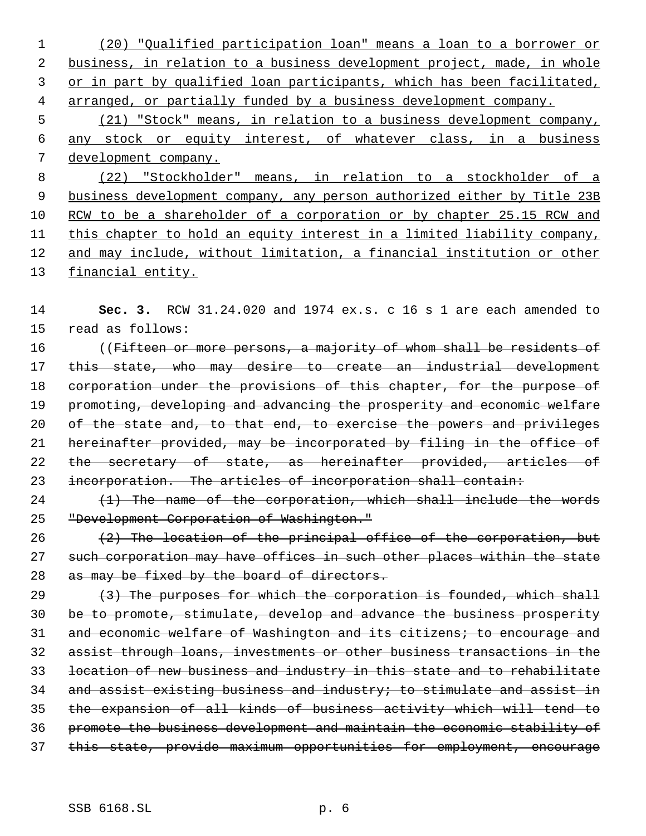1 (20) "Qualified participation loan" means a loan to a borrower or 2 business, in relation to a business development project, made, in whole 3 or in part by qualified loan participants, which has been facilitated, 4 arranged, or partially funded by a business development company. 5 (21) "Stock" means, in relation to a business development company, 6 any stock or equity interest, of whatever class, in a business 7 development company. 8 (22) "Stockholder" means, in relation to a stockholder of a 9 business development company, any person authorized either by Title 23B 10 RCW to be a shareholder of a corporation or by chapter 25.15 RCW and 11 this chapter to hold an equity interest in a limited liability company, 12 and may include, without limitation, a financial institution or other 13 financial entity.

14 **Sec. 3.** RCW 31.24.020 and 1974 ex.s. c 16 s 1 are each amended to 15 read as follows:

16 ((Fifteen or more persons, a majority of whom shall be residents of 17 this state, who may desire to create an industrial development 18 corporation under the provisions of this chapter, for the purpose of 19 promoting, developing and advancing the prosperity and economic welfare 20 of the state and, to that end, to exercise the powers and privileges 21 hereinafter provided, may be incorporated by filing in the office of 22 the secretary of state, as hereinafter provided, articles of 23 incorporation. The articles of incorporation shall contain:

 $24$  (1) The name of the corporation, which shall include the words 25 "Development Corporation of Washington."

26  $(2)$  The location of the principal office of the corporation, but 27 such corporation may have offices in such other places within the state 28 as may be fixed by the board of directors.

 $(3)$  The purposes for which the corporation is founded, which shall be to promote, stimulate, develop and advance the business prosperity 31 and economic welfare of Washington and its citizens; to encourage and assist through loans, investments or other business transactions in the location of new business and industry in this state and to rehabilitate and assist existing business and industry; to stimulate and assist in the expansion of all kinds of business activity which will tend to promote the business development and maintain the economic stability of this state, provide maximum opportunities for employment, encourage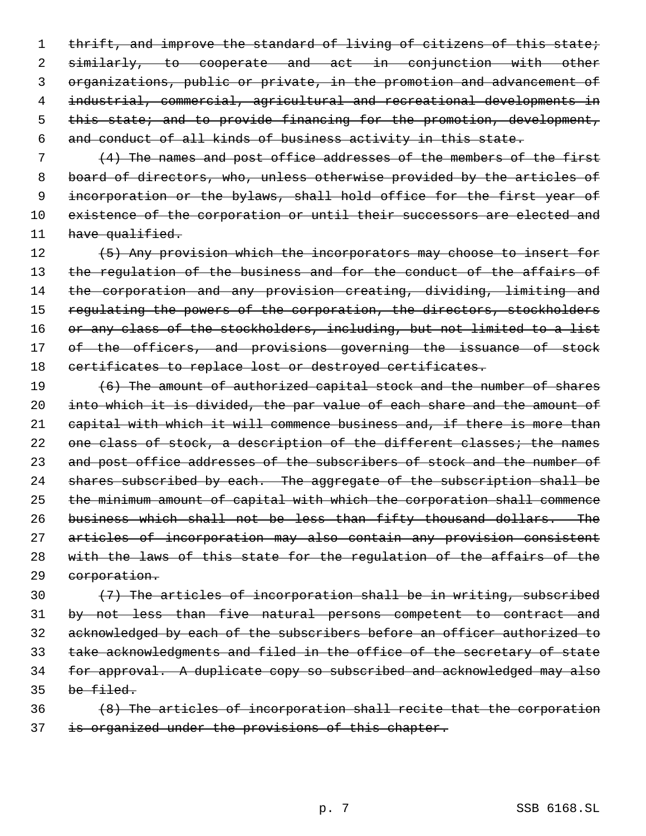1 thrift, and improve the standard of living of citizens of this state; similarly, to cooperate and act in conjunction with other organizations, public or private, in the promotion and advancement of industrial, commercial, agricultural and recreational developments in this state; and to provide financing for the promotion, development, and conduct of all kinds of business activity in this state.

 7 (4) The names and post office addresses of the members of the first 8 board of directors, who, unless otherwise provided by the articles of 9 incorporation or the bylaws, shall hold office for the first year of 10 existence of the corporation or until their successors are elected and 11 have qualified.

12 (5) Any provision which the incorporators may choose to insert for 13 the regulation of the business and for the conduct of the affairs of 14 the corporation and any provision creating, dividing, limiting and 15 regulating the powers of the corporation, the directors, stockholders 16 or any class of the stockholders, including, but not limited to a list 17 of the officers, and provisions governing the issuance of stock 18 certificates to replace lost or destroyed certificates.

19 (6) The amount of authorized capital stock and the number of shares 20 into which it is divided, the par value of each share and the amount of 21 capital with which it will commence business and, if there is more than 22 one class of stock, a description of the different classes; the names 23 and post office addresses of the subscribers of stock and the number of 24 shares subscribed by each. The aggregate of the subscription shall be 25 the minimum amount of capital with which the corporation shall commence 26 business which shall not be less than fifty thousand dollars. The 27 articles of incorporation may also contain any provision consistent 28 with the laws of this state for the regulation of the affairs of the 29 corporation.

 $(7)$  The articles of incorporation shall be in writing, subscribed by not less than five natural persons competent to contract and acknowledged by each of the subscribers before an officer authorized to take acknowledgments and filed in the office of the secretary of state for approval. A duplicate copy so subscribed and acknowledged may also be filed.

36 (8) The articles of incorporation shall recite that the corporation 37 is organized under the provisions of this chapter.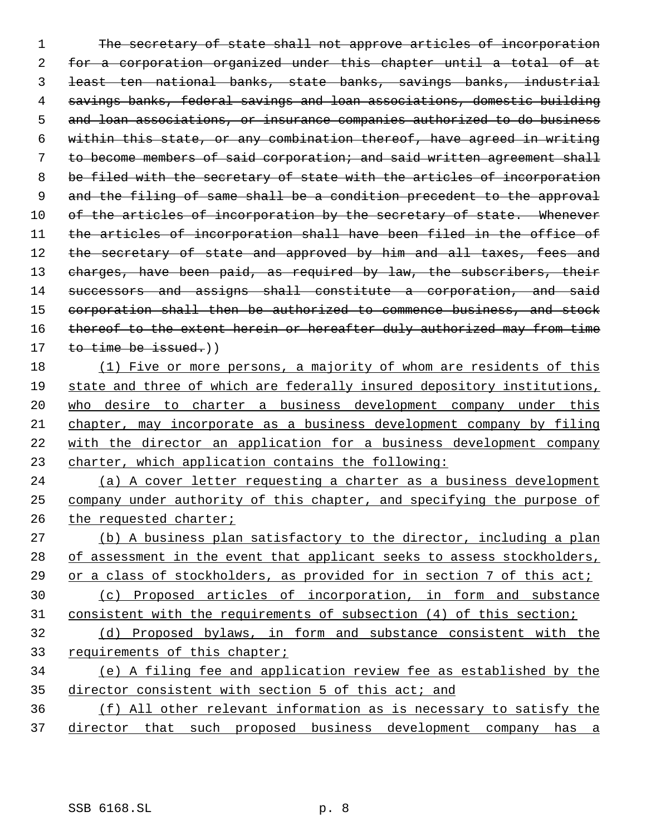The secretary of state shall not approve articles of incorporation for a corporation organized under this chapter until a total of at least ten national banks, state banks, savings banks, industrial savings banks, federal savings and loan associations, domestic building and loan associations, or insurance companies authorized to do business within this state, or any combination thereof, have agreed in writing to become members of said corporation; and said written agreement shall be filed with the secretary of state with the articles of incorporation 9 and the filing of same shall be a condition precedent to the approval 10 of the articles of incorporation by the secretary of state. Whenever the articles of incorporation shall have been filed in the office of 12 the secretary of state and approved by him and all taxes, fees and 13 charges, have been paid, as required by law, the subscribers, their 14 successors and assigns shall constitute a corporation, and said corporation shall then be authorized to commence business, and stock 16 thereof to the extent herein or hereafter duly authorized may from time 17 to time be issued.) (1) Five or more persons, a majority of whom are residents of this

 state and three of which are federally insured depository institutions, who desire to charter a business development company under this chapter, may incorporate as a business development company by filing with the director an application for a business development company charter, which application contains the following:

 (a) A cover letter requesting a charter as a business development company under authority of this chapter, and specifying the purpose of 26 the requested charter;

 (b) A business plan satisfactory to the director, including a plan 28 of assessment in the event that applicant seeks to assess stockholders, or a class of stockholders, as provided for in section 7 of this act; (c) Proposed articles of incorporation, in form and substance consistent with the requirements of subsection (4) of this section; (d) Proposed bylaws, in form and substance consistent with the requirements of this chapter; (e) A filing fee and application review fee as established by the 35 director consistent with section 5 of this act; and

 (f) All other relevant information as is necessary to satisfy the director that such proposed business development company has a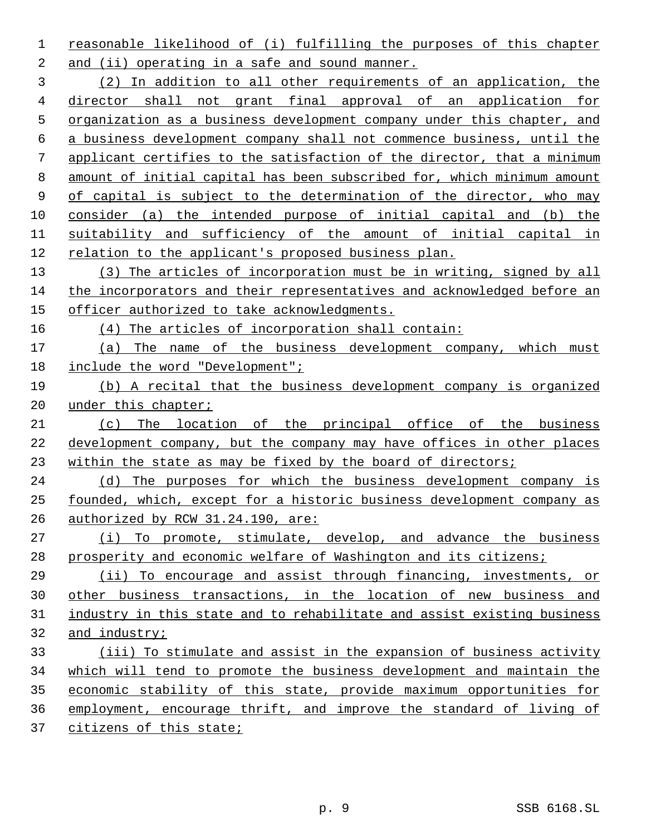reasonable likelihood of (i) fulfilling the purposes of this chapter and (ii) operating in a safe and sound manner.

 (2) In addition to all other requirements of an application, the director shall not grant final approval of an application for organization as a business development company under this chapter, and a business development company shall not commence business, until the applicant certifies to the satisfaction of the director, that a minimum amount of initial capital has been subscribed for, which minimum amount of capital is subject to the determination of the director, who may consider (a) the intended purpose of initial capital and (b) the suitability and sufficiency of the amount of initial capital in relation to the applicant's proposed business plan.

 (3) The articles of incorporation must be in writing, signed by all the incorporators and their representatives and acknowledged before an officer authorized to take acknowledgments.

(4) The articles of incorporation shall contain:

- (a) The name of the business development company, which must include the word "Development";
- (b) A recital that the business development company is organized 20 under this chapter;
- (c) The location of the principal office of the business development company, but the company may have offices in other places within the state as may be fixed by the board of directors;

 (d) The purposes for which the business development company is founded, which, except for a historic business development company as authorized by RCW 31.24.190, are:

27 (i) To promote, stimulate, develop, and advance the business prosperity and economic welfare of Washington and its citizens;

 (ii) To encourage and assist through financing, investments, or other business transactions, in the location of new business and industry in this state and to rehabilitate and assist existing business and industry;

 (iii) To stimulate and assist in the expansion of business activity which will tend to promote the business development and maintain the economic stability of this state, provide maximum opportunities for employment, encourage thrift, and improve the standard of living of citizens of this state;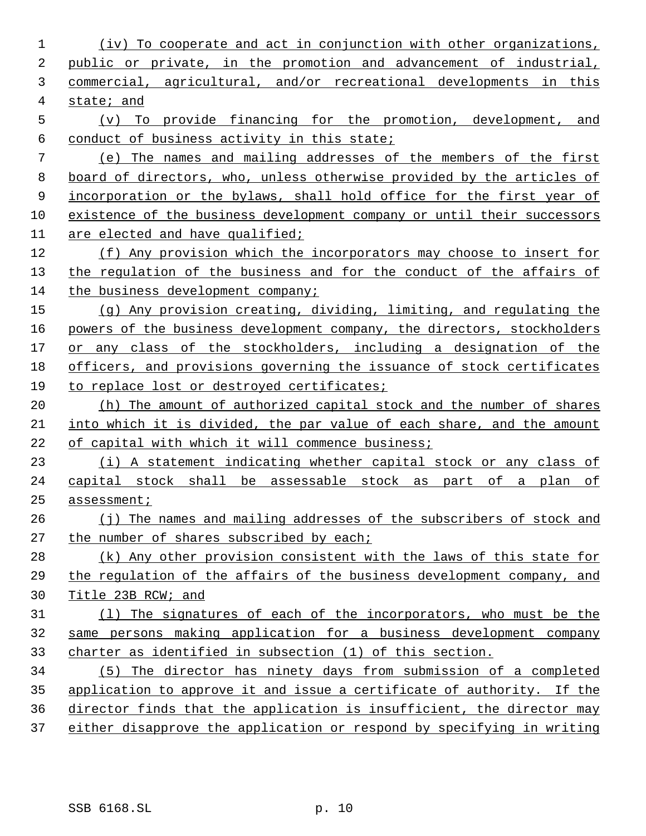(iv) To cooperate and act in conjunction with other organizations, public or private, in the promotion and advancement of industrial, commercial, agricultural, and/or recreational developments in this state; and (v) To provide financing for the promotion, development, and conduct of business activity in this state; (e) The names and mailing addresses of the members of the first board of directors, who, unless otherwise provided by the articles of 9 incorporation or the bylaws, shall hold office for the first year of existence of the business development company or until their successors are elected and have qualified; (f) Any provision which the incorporators may choose to insert for the regulation of the business and for the conduct of the affairs of 14 the business development company; (g) Any provision creating, dividing, limiting, and regulating the 16 powers of the business development company, the directors, stockholders 17 or any class of the stockholders, including a designation of the officers, and provisions governing the issuance of stock certificates to replace lost or destroyed certificates; 20 (h) The amount of authorized capital stock and the number of shares into which it is divided, the par value of each share, and the amount of capital with which it will commence business; (i) A statement indicating whether capital stock or any class of capital stock shall be assessable stock as part of a plan of assessment; (j) The names and mailing addresses of the subscribers of stock and 27 the number of shares subscribed by each; (k) Any other provision consistent with the laws of this state for the regulation of the affairs of the business development company, and Title 23B RCW; and (l) The signatures of each of the incorporators, who must be the same persons making application for a business development company charter as identified in subsection (1) of this section. (5) The director has ninety days from submission of a completed application to approve it and issue a certificate of authority. If the director finds that the application is insufficient, the director may either disapprove the application or respond by specifying in writing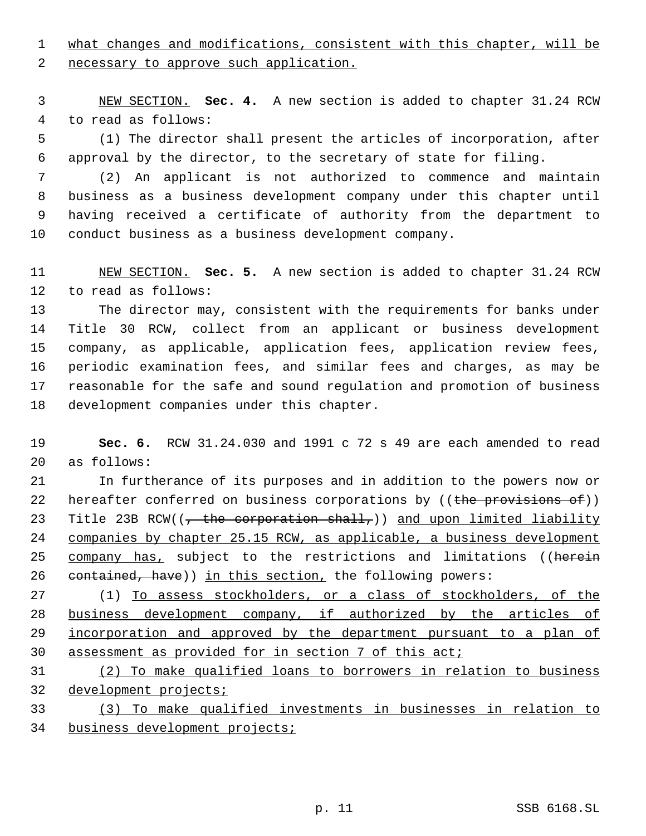what changes and modifications, consistent with this chapter, will be 2 necessary to approve such application.

 NEW SECTION. **Sec. 4.** A new section is added to chapter 31.24 RCW to read as follows:

 (1) The director shall present the articles of incorporation, after approval by the director, to the secretary of state for filing.

 (2) An applicant is not authorized to commence and maintain business as a business development company under this chapter until having received a certificate of authority from the department to conduct business as a business development company.

 NEW SECTION. **Sec. 5.** A new section is added to chapter 31.24 RCW to read as follows:

 The director may, consistent with the requirements for banks under Title 30 RCW, collect from an applicant or business development company, as applicable, application fees, application review fees, periodic examination fees, and similar fees and charges, as may be reasonable for the safe and sound regulation and promotion of business development companies under this chapter.

 **Sec. 6.** RCW 31.24.030 and 1991 c 72 s 49 are each amended to read as follows:

 In furtherance of its purposes and in addition to the powers now or 22 hereafter conferred on business corporations by ((the provisions of)) 23 Title 23B RCW( $(-t)$  the corporation shall,)) and upon limited liability 24 companies by chapter 25.15 RCW, as applicable, a business development 25 company has, subject to the restrictions and limitations ((herein 26 contained, have)) in this section, the following powers:

 (1) To assess stockholders, or a class of stockholders, of the business development company, if authorized by the articles of incorporation and approved by the department pursuant to a plan of assessment as provided for in section 7 of this act;

 (2) To make qualified loans to borrowers in relation to business 32 development projects;

 (3) To make qualified investments in businesses in relation to business development projects;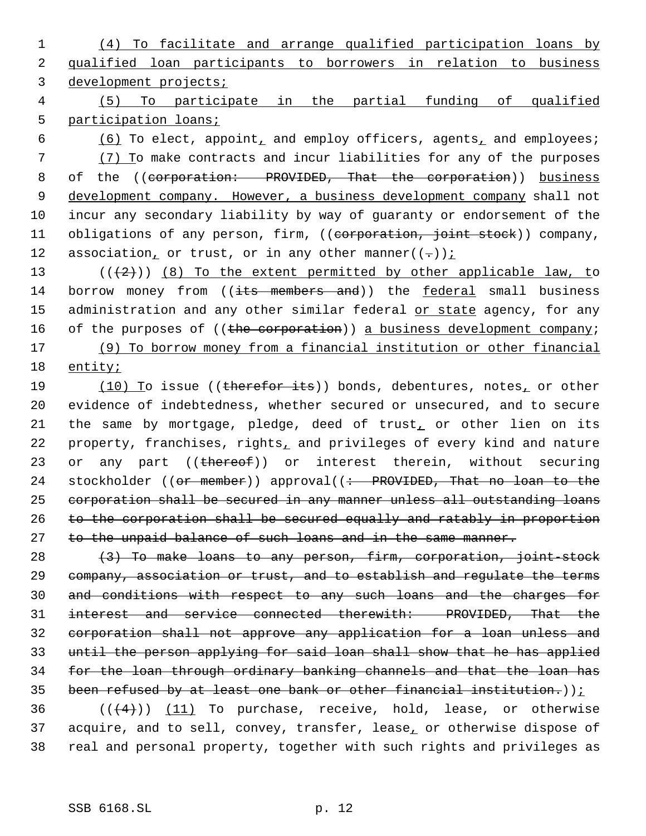1 (4) To facilitate and arrange qualified participation loans by 2 qualified loan participants to borrowers in relation to business 3 development projects;

 4 (5) To participate in the partial funding of qualified 5 participation loans;

6  $(6)$  To elect, appoint, and employ officers, agents, and employees; 7 (7) To make contracts and incur liabilities for any of the purposes 8 of the ((corporation: PROVIDED, That the corporation)) business 9 development company. However, a business development company shall not 10 incur any secondary liability by way of guaranty or endorsement of the 11 obligations of any person, firm, ((corporation, joint stock)) company, 12 association, or trust, or in any other manner( $(-)$ );

13  $((+2))$   $(8)$  To the extent permitted by other applicable law, to 14 borrow money from ((its members and)) the federal small business 15 administration and any other similar federal or state agency, for any 16 of the purposes of ((the corporation)) a business development company; 17 (9) To borrow money from a financial institution or other financial 18 entity;

19 (10) To issue ((therefor its)) bonds, debentures, notes, or other 20 evidence of indebtedness, whether secured or unsecured, and to secure 21 the same by mortgage, pledge, deed of trust, or other lien on its 22 property, franchises, rights, and privileges of every kind and nature 23 or any part ((thereof)) or interest therein, without securing 24 stockholder ((or member)) approval((: PROVIDED, That no loan to the 25 corporation shall be secured in any manner unless all outstanding loans 26 to the corporation shall be secured equally and ratably in proportion 27 to the unpaid balance of such loans and in the same manner.

 (3) To make loans to any person, firm, corporation, joint-stock company, association or trust, and to establish and regulate the terms and conditions with respect to any such loans and the charges for interest and service connected therewith: PROVIDED, That the corporation shall not approve any application for a loan unless and until the person applying for said loan shall show that he has applied for the loan through ordinary banking channels and that the loan has 35 been refused by at least one bank or other financial institution.)) $\frac{i}{r}$ 

36  $((+4))$   $(11)$  To purchase, receive, hold, lease, or otherwise 37 acquire, and to sell, convey, transfer, lease, or otherwise dispose of 38 real and personal property, together with such rights and privileges as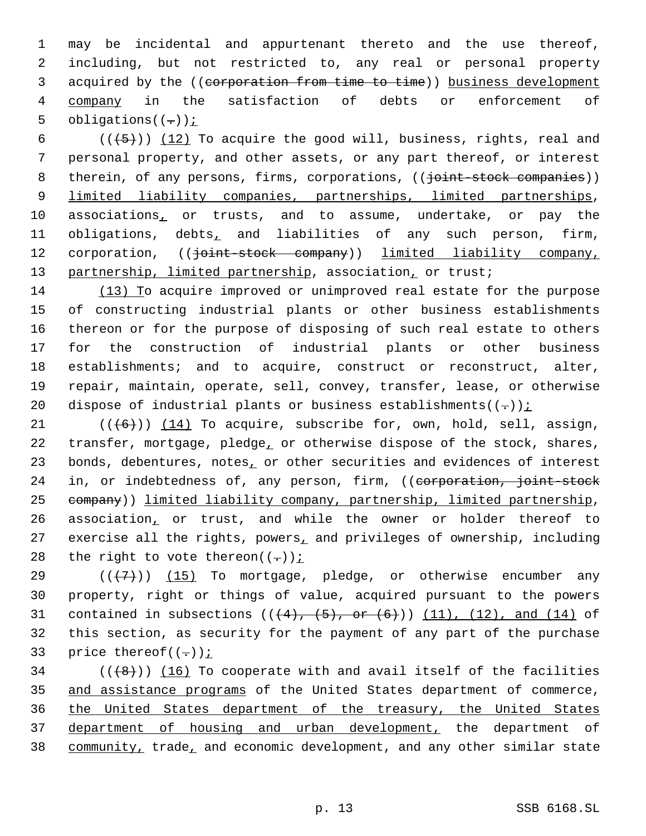1 may be incidental and appurtenant thereto and the use thereof, 2 including, but not restricted to, any real or personal property 3 acquired by the ((corporation from time to time)) business development 4 company in the satisfaction of debts or enforcement of 5 obligations( $(-)$ )  $\frac{i}{i}$ 

 $((+5))$   $(12)$  To acquire the good will, business, rights, real and personal property, and other assets, or any part thereof, or interest 8 therein, of any persons, firms, corporations, (( $\overline{j}$ oint-stock companies)) limited liability companies, partnerships, limited partnerships, associations, or trusts, and to assume, undertake, or pay the obligations, debts, and liabilities of any such person, firm, 12 corporation, (( $\frac{1}{10}$  ) dimited liability company, 13 partnership, limited partnership, association, or trust;

 (13) To acquire improved or unimproved real estate for the purpose of constructing industrial plants or other business establishments thereon or for the purpose of disposing of such real estate to others for the construction of industrial plants or other business establishments; and to acquire, construct or reconstruct, alter, repair, maintain, operate, sell, convey, transfer, lease, or otherwise 20 dispose of industrial plants or business establishments( $(-)$ );

21  $((+6))$   $(14)$  To acquire, subscribe for, own, hold, sell, assign, 22 transfer, mortgage, pledge, or otherwise dispose of the stock, shares, 23 bonds, debentures, notes, or other securities and evidences of interest 24 in, or indebtedness of, any person, firm, ((corporation, joint-stock 25 company)) limited liability company, partnership, limited partnership, 26 association, or trust, and while the owner or holder thereof to 27 exercise all the rights, powers, and privileges of ownership, including 28 the right to vote thereon $((-))$  i

29  $((+7)$ ) (15) To mortgage, pledge, or otherwise encumber any 30 property, right or things of value, acquired pursuant to the powers 31 contained in subsections  $((+4), (+5),$  or  $(+6))$  (11), (12), and (14) of 32 this section, as security for the payment of any part of the purchase 33 price thereof( $(-)$ )  $\frac{i}{i}$ 

 $((\langle 8 \rangle)(16)$  To cooperate with and avail itself of the facilities and assistance programs of the United States department of commerce, the United States department of the treasury, the United States department of housing and urban development, the department of 38 community, trade, and economic development, and any other similar state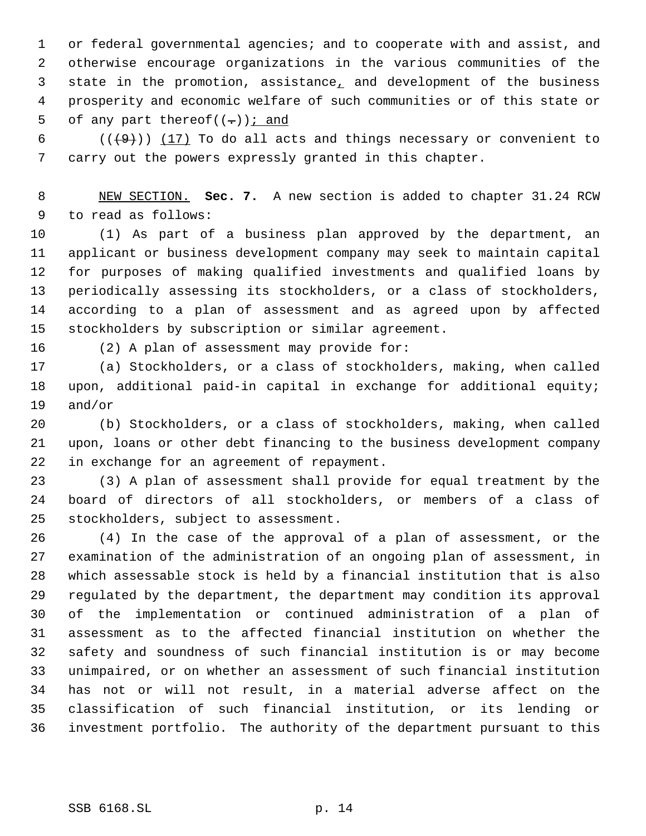or federal governmental agencies; and to cooperate with and assist, and otherwise encourage organizations in the various communities of the 3 state in the promotion, assistance, and development of the business prosperity and economic welfare of such communities or of this state or 5 of any part thereof $((-))$  *i* and

 $((+9))$   $(17)$  To do all acts and things necessary or convenient to carry out the powers expressly granted in this chapter.

 NEW SECTION. **Sec. 7.** A new section is added to chapter 31.24 RCW to read as follows:

 (1) As part of a business plan approved by the department, an applicant or business development company may seek to maintain capital for purposes of making qualified investments and qualified loans by periodically assessing its stockholders, or a class of stockholders, according to a plan of assessment and as agreed upon by affected stockholders by subscription or similar agreement.

(2) A plan of assessment may provide for:

 (a) Stockholders, or a class of stockholders, making, when called upon, additional paid-in capital in exchange for additional equity; and/or

 (b) Stockholders, or a class of stockholders, making, when called upon, loans or other debt financing to the business development company in exchange for an agreement of repayment.

 (3) A plan of assessment shall provide for equal treatment by the board of directors of all stockholders, or members of a class of stockholders, subject to assessment.

 (4) In the case of the approval of a plan of assessment, or the examination of the administration of an ongoing plan of assessment, in which assessable stock is held by a financial institution that is also regulated by the department, the department may condition its approval of the implementation or continued administration of a plan of assessment as to the affected financial institution on whether the safety and soundness of such financial institution is or may become unimpaired, or on whether an assessment of such financial institution has not or will not result, in a material adverse affect on the classification of such financial institution, or its lending or investment portfolio. The authority of the department pursuant to this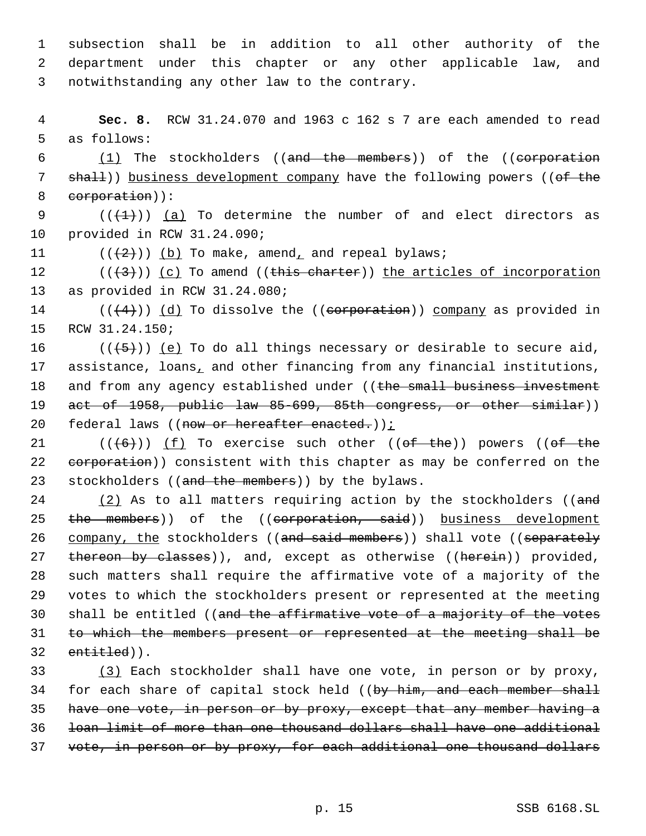1 subsection shall be in addition to all other authority of the 2 department under this chapter or any other applicable law, and 3 notwithstanding any other law to the contrary.

 4 **Sec. 8.** RCW 31.24.070 and 1963 c 162 s 7 are each amended to read 5 as follows:

 6 (1) The stockholders ((and the members)) of the ((corporation 7 shall)) business development company have the following powers ((of the 8 corporation)):

9  $((+1))$  (a) To determine the number of and elect directors as 10 provided in RCW 31.24.090;

11  $((\langle 2 \rangle)(\langle 0 \rangle)$  To make, amend, and repeal bylaws;

12  $((+3))$   $(c)$  To amend  $((this character))$  the articles of incorporation 13 as provided in RCW 31.24.080;

14  $((+4))$   $(d)$  To dissolve the  $((\text{corporation}))$  company as provided in 15 RCW 31.24.150;

16  $((+5))$  (e) To do all things necessary or desirable to secure aid, 17 assistance, loans, and other financing from any financial institutions, 18 and from any agency established under ((the small business investment 19 act of 1958, public law 85-699, 85th congress, or other similar)) 20 federal laws ((now or hereafter enacted.));

21  $((+6))$   $(f)$  To exercise such other  $((of - the))$  powers  $((of - the))$ 22 corporation)) consistent with this chapter as may be conferred on the 23 stockholders ((and the members)) by the bylaws.

 $24$  (2) As to all matters requiring action by the stockholders ((and 25 the members)) of the ((corporation, said)) business development 26 company, the stockholders ((and said members)) shall vote ((separately 27 thereon by classes)), and, except as otherwise ((herein)) provided, 28 such matters shall require the affirmative vote of a majority of the 29 votes to which the stockholders present or represented at the meeting 30 shall be entitled ((and the affirmative vote of a majority of the votes 31 to which the members present or represented at the meeting shall be 32 entitled)).

33 (3) Each stockholder shall have one vote, in person or by proxy, 34 for each share of capital stock held ((by him, and each member shall 35 have one vote, in person or by proxy, except that any member having a 36 loan limit of more than one thousand dollars shall have one additional 37 vote, in person or by proxy, for each additional one thousand dollars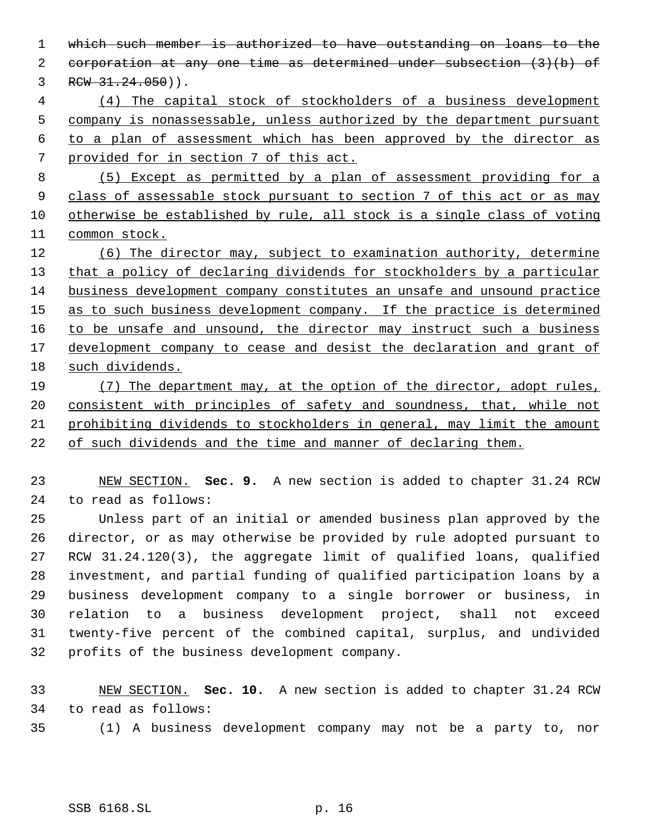which such member is authorized to have outstanding on loans to the corporation at any one time as determined under subsection (3)(b) of  $3 \tRCW 31.24.050)$ . (4) The capital stock of stockholders of a business development company is nonassessable, unless authorized by the department pursuant to a plan of assessment which has been approved by the director as provided for in section 7 of this act. (5) Except as permitted by a plan of assessment providing for a 9 class of assessable stock pursuant to section 7 of this act or as may otherwise be established by rule, all stock is a single class of voting 11 common stock. (6) The director may, subject to examination authority, determine 13 that a policy of declaring dividends for stockholders by a particular business development company constitutes an unsafe and unsound practice 15 as to such business development company. If the practice is determined 16 to be unsafe and unsound, the director may instruct such a business 17 development company to cease and desist the declaration and grant of such dividends. (7) The department may, at the option of the director, adopt rules, consistent with principles of safety and soundness, that, while not prohibiting dividends to stockholders in general, may limit the amount of such dividends and the time and manner of declaring them. NEW SECTION. **Sec. 9.** A new section is added to chapter 31.24 RCW to read as follows: Unless part of an initial or amended business plan approved by the director, or as may otherwise be provided by rule adopted pursuant to RCW 31.24.120(3), the aggregate limit of qualified loans, qualified investment, and partial funding of qualified participation loans by a

 business development company to a single borrower or business, in relation to a business development project, shall not exceed twenty-five percent of the combined capital, surplus, and undivided profits of the business development company.

 NEW SECTION. **Sec. 10.** A new section is added to chapter 31.24 RCW to read as follows:

(1) A business development company may not be a party to, nor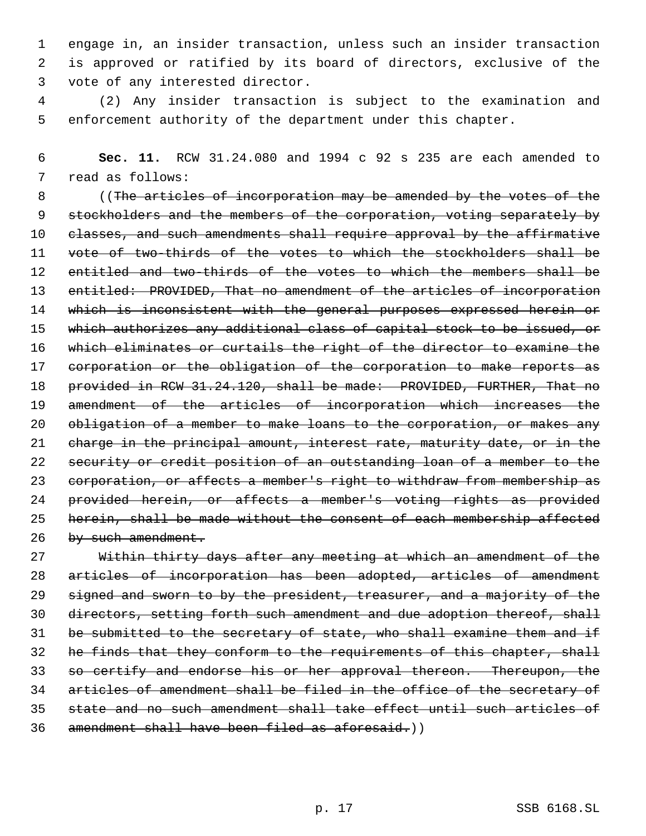engage in, an insider transaction, unless such an insider transaction is approved or ratified by its board of directors, exclusive of the vote of any interested director.

 (2) Any insider transaction is subject to the examination and enforcement authority of the department under this chapter.

 **Sec. 11.** RCW 31.24.080 and 1994 c 92 s 235 are each amended to read as follows:

8 ((The articles of incorporation may be amended by the votes of the stockholders and the members of the corporation, voting separately by 10 classes, and such amendments shall require approval by the affirmative vote of two-thirds of the votes to which the stockholders shall be entitled and two-thirds of the votes to which the members shall be 13 entitled: PROVIDED, That no amendment of the articles of incorporation 14 which is inconsistent with the general purposes expressed herein or 15 which authorizes any additional class of capital stock to be issued, or which eliminates or curtails the right of the director to examine the 17 corporation or the obligation of the corporation to make reports as 18 provided in RCW 31.24.120, shall be made: PROVIDED, FURTHER, That no amendment of the articles of incorporation which increases the 20 obligation of a member to make loans to the corporation, or makes any 21 charge in the principal amount, interest rate, maturity date, or in the security or credit position of an outstanding loan of a member to the corporation, or affects a member's right to withdraw from membership as provided herein, or affects a member's voting rights as provided herein, shall be made without the consent of each membership affected 26 by such amendment.

 Within thirty days after any meeting at which an amendment of the articles of incorporation has been adopted, articles of amendment 29 signed and sworn to by the president, treasurer, and a majority of the 30 directors, setting forth such amendment and due adoption thereof, shall be submitted to the secretary of state, who shall examine them and if 32 he finds that they conform to the requirements of this chapter, shall so certify and endorse his or her approval thereon. Thereupon, the articles of amendment shall be filed in the office of the secretary of state and no such amendment shall take effect until such articles of amendment shall have been filed as aforesaid.))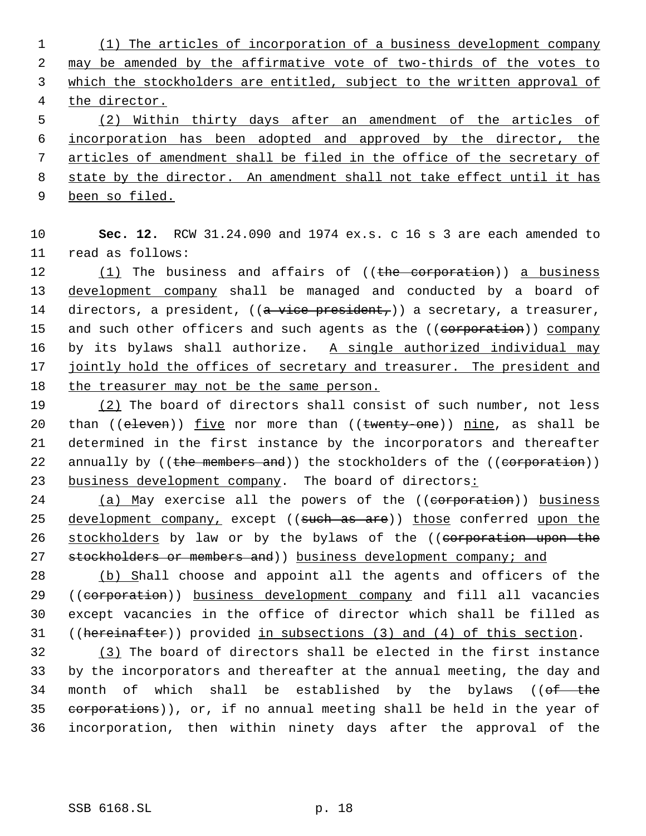(1) The articles of incorporation of a business development company 2 may be amended by the affirmative vote of two-thirds of the votes to which the stockholders are entitled, subject to the written approval of the director.

 (2) Within thirty days after an amendment of the articles of incorporation has been adopted and approved by the director, the articles of amendment shall be filed in the office of the secretary of state by the director. An amendment shall not take effect until it has

9 been so filed.

10 **Sec. 12.** RCW 31.24.090 and 1974 ex.s. c 16 s 3 are each amended to 11 read as follows:

12 (1) The business and affairs of ((the corporation)) a business 13 development company shall be managed and conducted by a board of 14 directors, a president,  $((a + vice + president))$  a secretary, a treasurer, 15 and such other officers and such agents as the ((eorporation)) company 16 by its bylaws shall authorize. A single authorized individual may 17 jointly hold the offices of secretary and treasurer. The president and 18 the treasurer may not be the same person.

19 (2) The board of directors shall consist of such number, not less 20 than (( $e$ leven)) five nor more than (( $t$ wenty-one)) nine, as shall be 21 determined in the first instance by the incorporators and thereafter 22 annually by ((the members and)) the stockholders of the ((corporation)) 23 business development company. The board of directors:

24 (a) May exercise all the powers of the ((corporation)) business 25 development company, except ((such as are)) those conferred upon the 26 stockholders by law or by the bylaws of the ((corporation upon the 27 stockholders or members and)) business development company; and

 (b) Shall choose and appoint all the agents and officers of the 29 ((corporation)) business development company and fill all vacancies except vacancies in the office of director which shall be filled as ((hereinafter)) provided in subsections (3) and (4) of this section.

32 (3) The board of directors shall be elected in the first instance 33 by the incorporators and thereafter at the annual meeting, the day and 34 month of which shall be established by the bylaws (( $of$  the 35 corporations)), or, if no annual meeting shall be held in the year of 36 incorporation, then within ninety days after the approval of the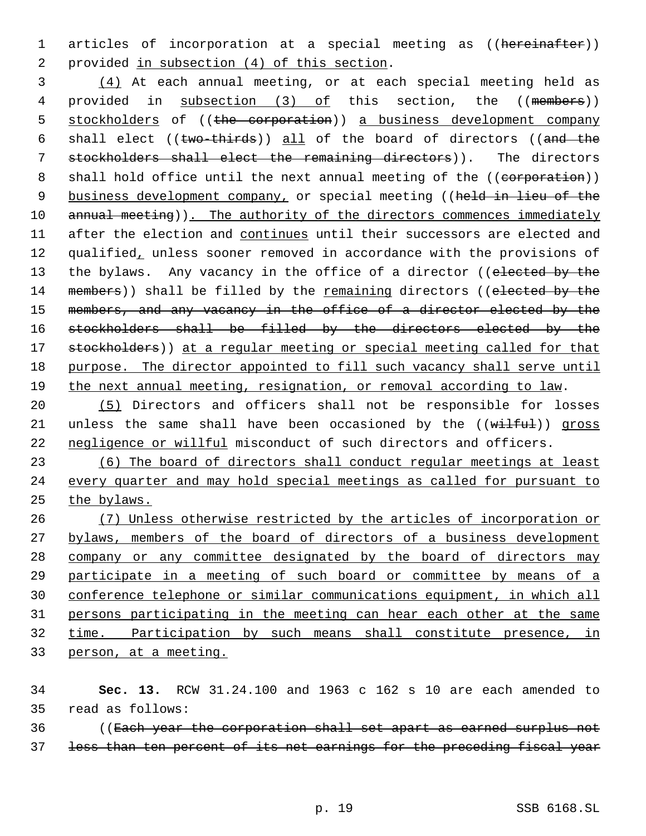1 articles of incorporation at a special meeting as ((hereinafter)) 2 provided in subsection (4) of this section.

 3 (4) At each annual meeting, or at each special meeting held as 4 provided in subsection (3) of this section, the ((members)) 5 stockholders of ((the corporation)) a business development company 6 shall elect ((two-thirds)) all of the board of directors ((and the 7 stockholders shall elect the remaining directors)). The directors 8 shall hold office until the next annual meeting of the ((corporation)) 9 business development company, or special meeting ((held in lieu of the 10 annual meeting)). The authority of the directors commences immediately 11 after the election and continues until their successors are elected and 12 qualified, unless sooner removed in accordance with the provisions of 13 the bylaws. Any vacancy in the office of a director ((elected by the 14 members)) shall be filled by the remaining directors ((elected by the 15 members, and any vacancy in the office of a director elected by the 16 stockholders shall be filled by the directors elected by the 17 stockholders)) at a regular meeting or special meeting called for that 18 purpose. The director appointed to fill such vacancy shall serve until 19 the next annual meeting, resignation, or removal according to law.

20 (5) Directors and officers shall not be responsible for losses 21 unless the same shall have been occasioned by the  $((with  $full$ ))$  gross 22 negligence or willful misconduct of such directors and officers.

23 (6) The board of directors shall conduct regular meetings at least 24 every quarter and may hold special meetings as called for pursuant to 25 the bylaws.

 (7) Unless otherwise restricted by the articles of incorporation or 27 bylaws, members of the board of directors of a business development company or any committee designated by the board of directors may participate in a meeting of such board or committee by means of a conference telephone or similar communications equipment, in which all persons participating in the meeting can hear each other at the same time. Participation by such means shall constitute presence, in person, at a meeting.

34 **Sec. 13.** RCW 31.24.100 and 1963 c 162 s 10 are each amended to 35 read as follows:

36 ((Each year the corporation shall set apart as earned surplus not 37 less than ten percent of its net earnings for the preceding fiscal year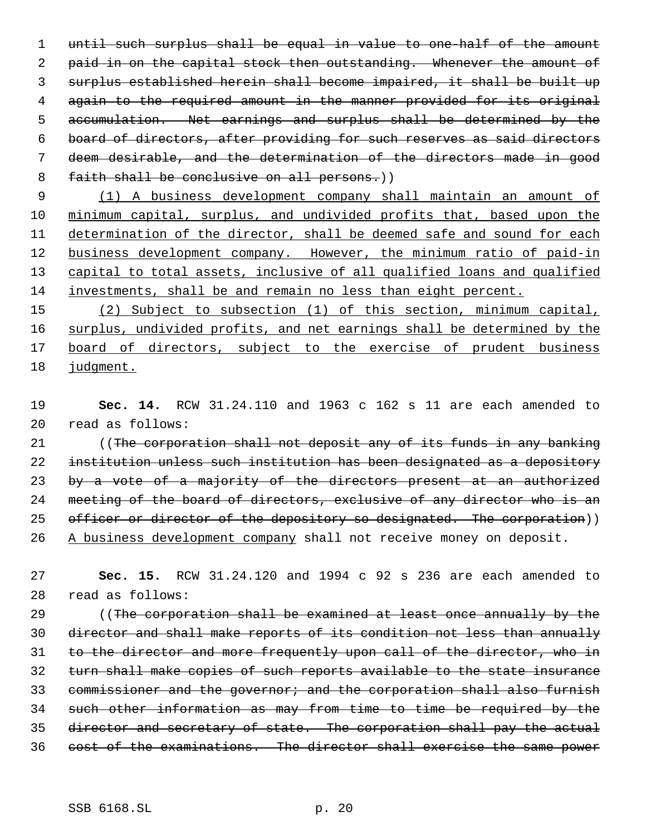until such surplus shall be equal in value to one-half of the amount 2 paid in on the capital stock then outstanding. Whenever the amount of surplus established herein shall become impaired, it shall be built up again to the required amount in the manner provided for its original accumulation. Net earnings and surplus shall be determined by the board of directors, after providing for such reserves as said directors deem desirable, and the determination of the directors made in good 8 faith shall be conclusive on all persons.))

 (1) A business development company shall maintain an amount of minimum capital, surplus, and undivided profits that, based upon the determination of the director, shall be deemed safe and sound for each 12 business development company. However, the minimum ratio of paid-in capital to total assets, inclusive of all qualified loans and qualified investments, shall be and remain no less than eight percent.

 (2) Subject to subsection (1) of this section, minimum capital, surplus, undivided profits, and net earnings shall be determined by the 17 board of directors, subject to the exercise of prudent business judgment.

 **Sec. 14.** RCW 31.24.110 and 1963 c 162 s 11 are each amended to read as follows:

21 (The corporation shall not deposit any of its funds in any banking institution unless such institution has been designated as a depository 23 by a vote of a majority of the directors present at an authorized 24 meeting of the board of directors, exclusive of any director who is an 25 officer or director of the depository so designated. The corporation)) 26 A business development company shall not receive money on deposit.

 **Sec. 15.** RCW 31.24.120 and 1994 c 92 s 236 are each amended to read as follows:

29 ((The corporation shall be examined at least once annually by the director and shall make reports of its condition not less than annually to the director and more frequently upon call of the director, who in turn shall make copies of such reports available to the state insurance 33 commissioner and the governor; and the corporation shall also furnish such other information as may from time to time be required by the director and secretary of state. The corporation shall pay the actual cost of the examinations. The director shall exercise the same power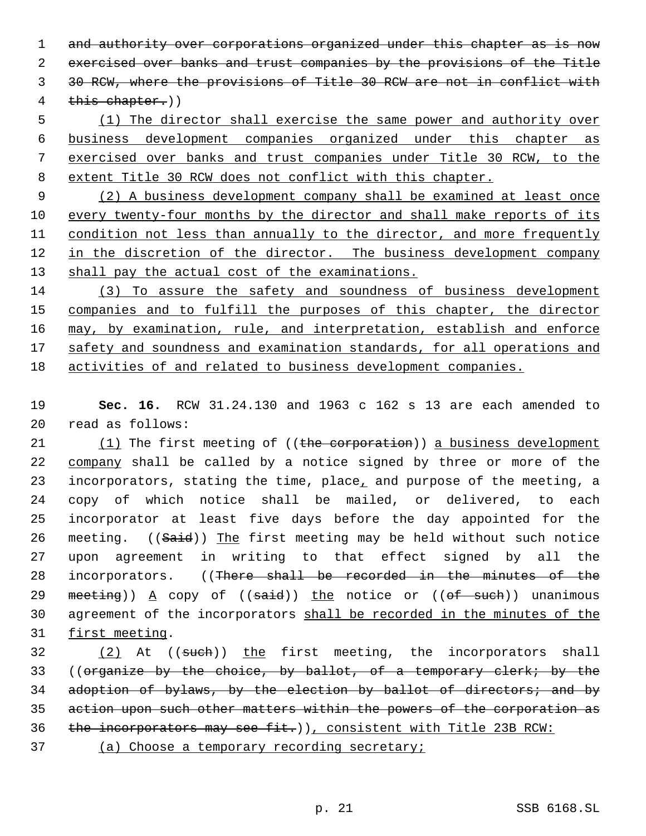1 and authority over corporations organized under this chapter as is now 2 exercised over banks and trust companies by the provisions of the Title 3 30 RCW, where the provisions of Title 30 RCW are not in conflict with 4 this chapter.))

 (1) The director shall exercise the same power and authority over business development companies organized under this chapter as exercised over banks and trust companies under Title 30 RCW, to the extent Title 30 RCW does not conflict with this chapter.

 9 (2) A business development company shall be examined at least once 10 every twenty-four months by the director and shall make reports of its 11 condition not less than annually to the director, and more frequently 12 in the discretion of the director. The business development company 13 shall pay the actual cost of the examinations.

14 (3) To assure the safety and soundness of business development 15 companies and to fulfill the purposes of this chapter, the director 16 may, by examination, rule, and interpretation, establish and enforce 17 safety and soundness and examination standards, for all operations and 18 activities of and related to business development companies.

19 **Sec. 16.** RCW 31.24.130 and 1963 c 162 s 13 are each amended to 20 read as follows:

21 (1) The first meeting of ((the corporation)) a business development 22 company shall be called by a notice signed by three or more of the 23 incorporators, stating the time, place, and purpose of the meeting, a 24 copy of which notice shall be mailed, or delivered, to each 25 incorporator at least five days before the day appointed for the 26 meeting. ((Said)) The first meeting may be held without such notice 27 upon agreement in writing to that effect signed by all the 28 incorporators. ((There shall be recorded in the minutes of the 29 meeting))  $A$  copy of ((said)) the notice or ((of such)) unanimous 30 agreement of the incorporators shall be recorded in the minutes of the 31 first meeting.

32 (2) At ((such)) the first meeting, the incorporators shall 33 ((organize by the choice, by ballot, of a temporary clerk; by the 34 adoption of bylaws, by the election by ballot of directors; and by 35 action upon such other matters within the powers of the corporation as 36 the incorporators may see fit.)), consistent with Title 23B RCW:

37 (a) Choose a temporary recording secretary;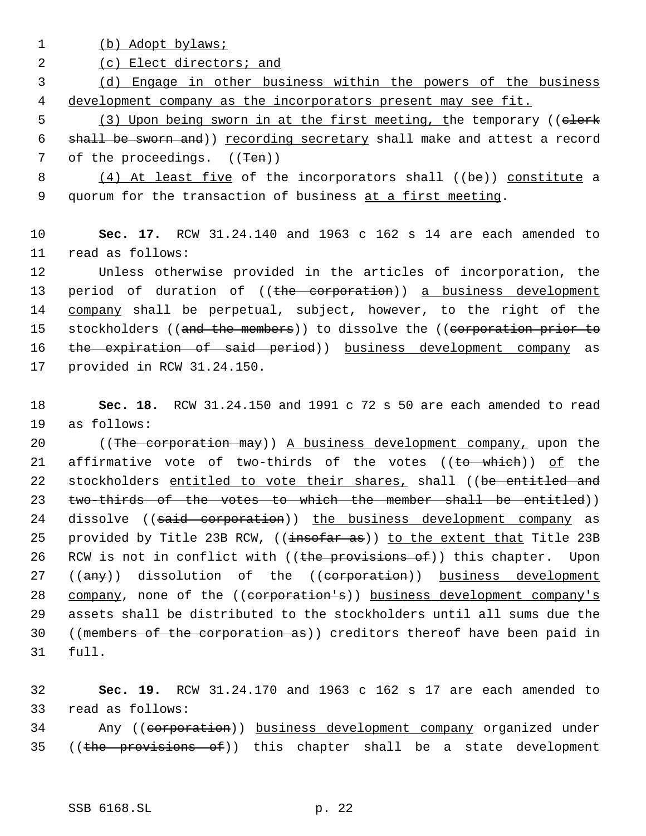1 (b) Adopt bylaws;

2 (c) Elect directors; and

 3 (d) Engage in other business within the powers of the business 4 development company as the incorporators present may see fit.

5 (3) Upon being sworn in at the first meeting, the temporary ((clerk 6 shall be sworn and)) recording secretary shall make and attest a record 7 of the proceedings. ((<del>Ten</del>))

8 (4) At least five of the incorporators shall ((be)) constitute a 9 quorum for the transaction of business at a first meeting.

10 **Sec. 17.** RCW 31.24.140 and 1963 c 162 s 14 are each amended to 11 read as follows:

12 Unless otherwise provided in the articles of incorporation, the 13 period of duration of ((the corporation)) a business development 14 company shall be perpetual, subject, however, to the right of the 15 stockholders ((and the members)) to dissolve the ((corporation prior to 16 the expiration of said period)) business development company as 17 provided in RCW 31.24.150.

18 **Sec. 18.** RCW 31.24.150 and 1991 c 72 s 50 are each amended to read 19 as follows:

20 ((The corporation may)) A business development company, upon the 21 affirmative vote of two-thirds of the votes  $((to -which))$  of the 22 stockholders entitled to vote their shares, shall ((be entitled and 23 two-thirds of the votes to which the member shall be entitled)) 24 dissolve ((said corporation)) the business development company as 25 provided by Title 23B RCW, ((insofar as)) to the extent that Title 23B 26 RCW is not in conflict with ((the provisions of)) this chapter. Upon 27 ((any)) dissolution of the ((corporation)) business development 28 company, none of the ((corporation's)) business development company's 29 assets shall be distributed to the stockholders until all sums due the 30 ((members of the corporation as)) creditors thereof have been paid in 31 full.

32 **Sec. 19.** RCW 31.24.170 and 1963 c 162 s 17 are each amended to 33 read as follows:

34 Any ((corporation)) business development company organized under 35 ((the provisions of)) this chapter shall be a state development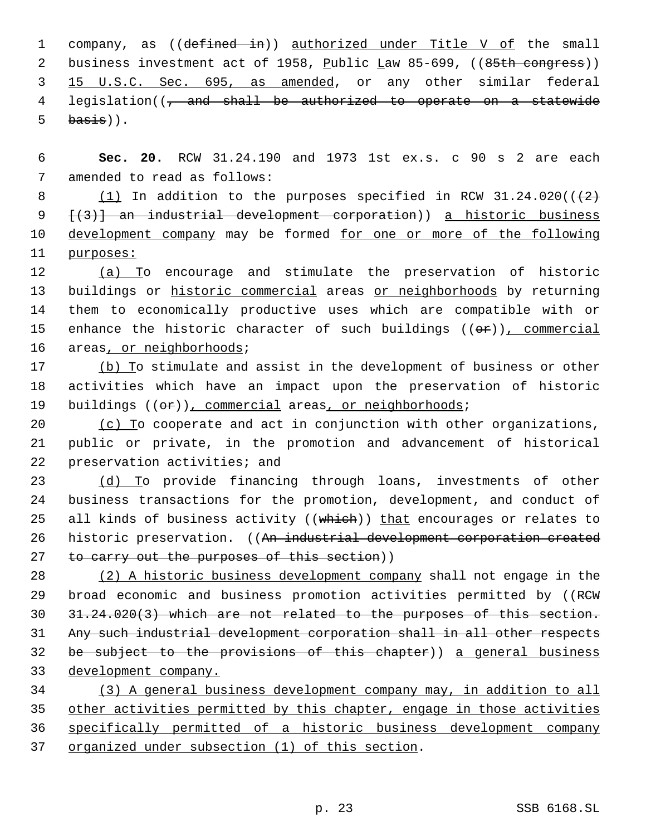1 company, as ((defined in)) authorized under Title V of the small 2 business investment act of 1958, Public Law 85-699, ((85th congress)) 3 15 U.S.C. Sec. 695, as amended, or any other similar federal 4 legislation((, and shall be authorized to operate on a statewide  $5$  basis)).

 6 **Sec. 20.** RCW 31.24.190 and 1973 1st ex.s. c 90 s 2 are each 7 amended to read as follows:

 $(1)$  In addition to the purposes specified in RCW 31.24.020( $(2)$ ) [(3)] an industrial development corporation)) a historic business 10 development company may be formed for one or more of the following purposes:

12 (a) To encourage and stimulate the preservation of historic 13 buildings or historic commercial areas or neighborhoods by returning 14 them to economically productive uses which are compatible with or 15 enhance the historic character of such buildings  $((\theta \cdot \hat{r}))$ , commercial 16 areas, or neighborhoods;

17 (b) To stimulate and assist in the development of business or other 18 activities which have an impact upon the preservation of historic 19 buildings ((or)), commercial areas, or neighborhoods;

20  $(c)$  To cooperate and act in conjunction with other organizations, 21 public or private, in the promotion and advancement of historical 22 preservation activities; and

23 (d) To provide financing through loans, investments of other 24 business transactions for the promotion, development, and conduct of 25 all kinds of business activity ((which)) that encourages or relates to 26 historic preservation. ((An industrial development corporation created 27 to carry out the purposes of this section))

 (2) A historic business development company shall not engage in the 29 broad economic and business promotion activities permitted by ((RCW 31.24.020(3) which are not related to the purposes of this section. Any such industrial development corporation shall in all other respects be subject to the provisions of this chapter)) a general business development company.

 (3) A general business development company may, in addition to all other activities permitted by this chapter, engage in those activities specifically permitted of a historic business development company organized under subsection (1) of this section.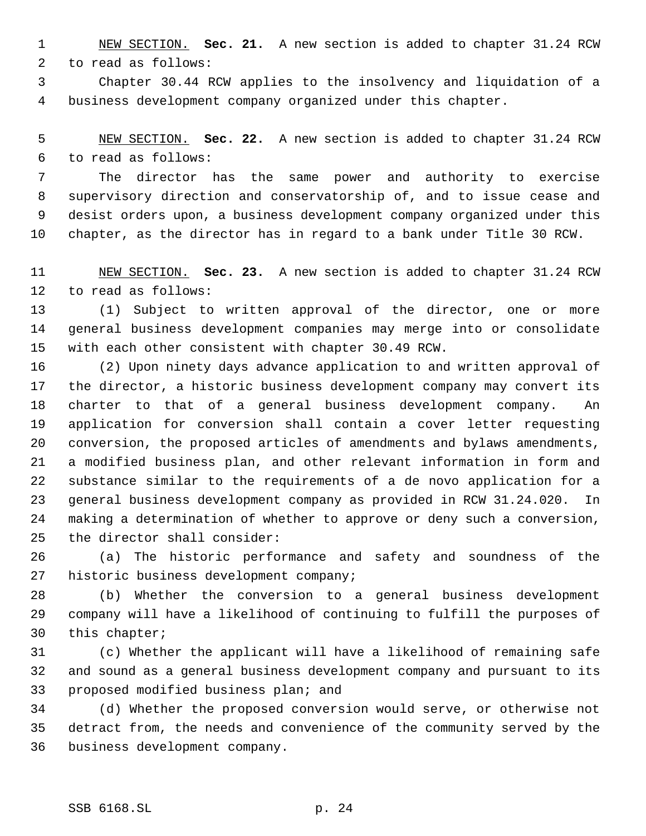NEW SECTION. **Sec. 21.** A new section is added to chapter 31.24 RCW to read as follows:

 Chapter 30.44 RCW applies to the insolvency and liquidation of a business development company organized under this chapter.

 NEW SECTION. **Sec. 22.** A new section is added to chapter 31.24 RCW to read as follows:

 The director has the same power and authority to exercise supervisory direction and conservatorship of, and to issue cease and desist orders upon, a business development company organized under this chapter, as the director has in regard to a bank under Title 30 RCW.

 NEW SECTION. **Sec. 23.** A new section is added to chapter 31.24 RCW to read as follows:

 (1) Subject to written approval of the director, one or more general business development companies may merge into or consolidate with each other consistent with chapter 30.49 RCW.

 (2) Upon ninety days advance application to and written approval of the director, a historic business development company may convert its charter to that of a general business development company. An application for conversion shall contain a cover letter requesting conversion, the proposed articles of amendments and bylaws amendments, a modified business plan, and other relevant information in form and substance similar to the requirements of a de novo application for a general business development company as provided in RCW 31.24.020. In making a determination of whether to approve or deny such a conversion, the director shall consider:

 (a) The historic performance and safety and soundness of the historic business development company;

 (b) Whether the conversion to a general business development company will have a likelihood of continuing to fulfill the purposes of this chapter;

 (c) Whether the applicant will have a likelihood of remaining safe and sound as a general business development company and pursuant to its proposed modified business plan; and

 (d) Whether the proposed conversion would serve, or otherwise not detract from, the needs and convenience of the community served by the business development company.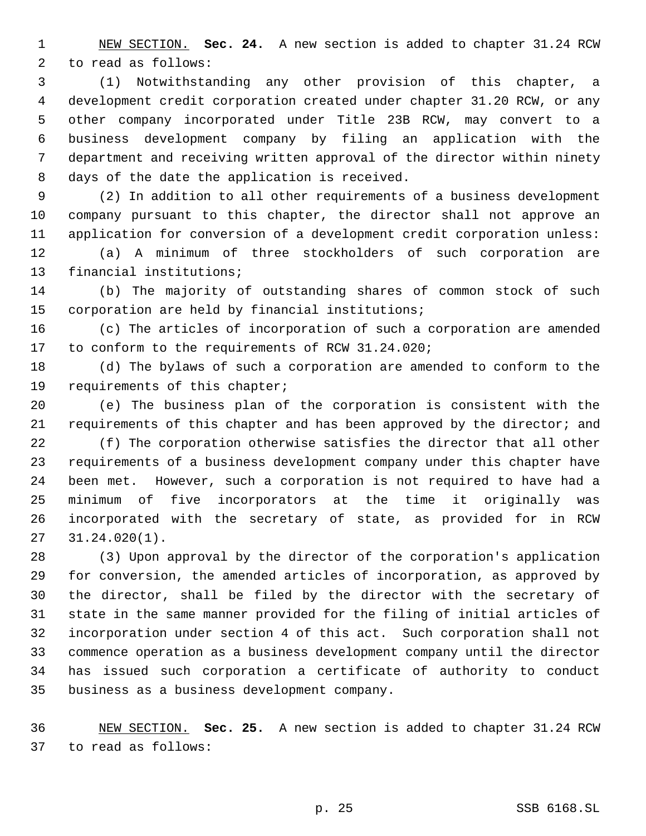NEW SECTION. **Sec. 24.** A new section is added to chapter 31.24 RCW to read as follows:

 (1) Notwithstanding any other provision of this chapter, a development credit corporation created under chapter 31.20 RCW, or any other company incorporated under Title 23B RCW, may convert to a business development company by filing an application with the department and receiving written approval of the director within ninety days of the date the application is received.

 (2) In addition to all other requirements of a business development company pursuant to this chapter, the director shall not approve an application for conversion of a development credit corporation unless:

 (a) A minimum of three stockholders of such corporation are financial institutions;

 (b) The majority of outstanding shares of common stock of such corporation are held by financial institutions;

 (c) The articles of incorporation of such a corporation are amended to conform to the requirements of RCW 31.24.020;

 (d) The bylaws of such a corporation are amended to conform to the requirements of this chapter;

 (e) The business plan of the corporation is consistent with the 21 requirements of this chapter and has been approved by the director; and

 (f) The corporation otherwise satisfies the director that all other requirements of a business development company under this chapter have been met. However, such a corporation is not required to have had a minimum of five incorporators at the time it originally was incorporated with the secretary of state, as provided for in RCW 31.24.020(1).

 (3) Upon approval by the director of the corporation's application for conversion, the amended articles of incorporation, as approved by the director, shall be filed by the director with the secretary of state in the same manner provided for the filing of initial articles of incorporation under section 4 of this act. Such corporation shall not commence operation as a business development company until the director has issued such corporation a certificate of authority to conduct business as a business development company.

 NEW SECTION. **Sec. 25.** A new section is added to chapter 31.24 RCW to read as follows: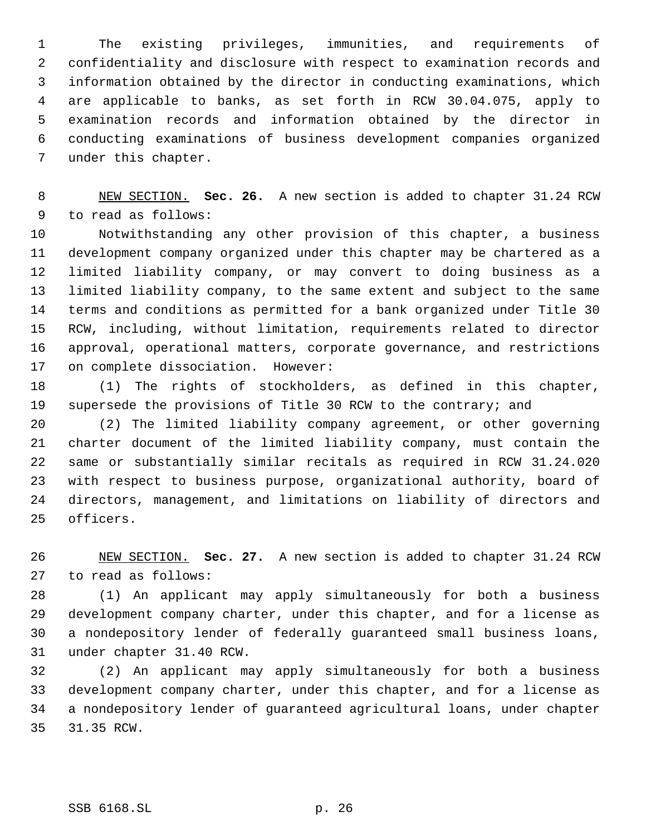The existing privileges, immunities, and requirements of confidentiality and disclosure with respect to examination records and information obtained by the director in conducting examinations, which are applicable to banks, as set forth in RCW 30.04.075, apply to examination records and information obtained by the director in conducting examinations of business development companies organized under this chapter.

 NEW SECTION. **Sec. 26.** A new section is added to chapter 31.24 RCW to read as follows:

 Notwithstanding any other provision of this chapter, a business development company organized under this chapter may be chartered as a limited liability company, or may convert to doing business as a limited liability company, to the same extent and subject to the same terms and conditions as permitted for a bank organized under Title 30 RCW, including, without limitation, requirements related to director approval, operational matters, corporate governance, and restrictions on complete dissociation. However:

 (1) The rights of stockholders, as defined in this chapter, supersede the provisions of Title 30 RCW to the contrary; and

 (2) The limited liability company agreement, or other governing charter document of the limited liability company, must contain the same or substantially similar recitals as required in RCW 31.24.020 with respect to business purpose, organizational authority, board of directors, management, and limitations on liability of directors and officers.

 NEW SECTION. **Sec. 27.** A new section is added to chapter 31.24 RCW to read as follows:

 (1) An applicant may apply simultaneously for both a business development company charter, under this chapter, and for a license as a nondepository lender of federally guaranteed small business loans, under chapter 31.40 RCW.

 (2) An applicant may apply simultaneously for both a business development company charter, under this chapter, and for a license as a nondepository lender of guaranteed agricultural loans, under chapter 31.35 RCW.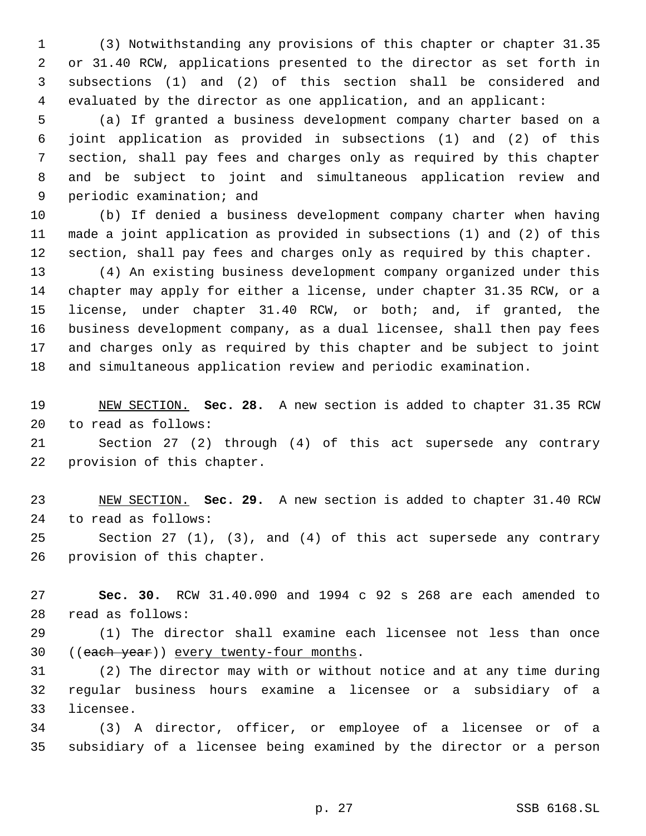(3) Notwithstanding any provisions of this chapter or chapter 31.35 or 31.40 RCW, applications presented to the director as set forth in subsections (1) and (2) of this section shall be considered and evaluated by the director as one application, and an applicant:

 (a) If granted a business development company charter based on a joint application as provided in subsections (1) and (2) of this section, shall pay fees and charges only as required by this chapter and be subject to joint and simultaneous application review and periodic examination; and

 (b) If denied a business development company charter when having made a joint application as provided in subsections (1) and (2) of this section, shall pay fees and charges only as required by this chapter.

 (4) An existing business development company organized under this chapter may apply for either a license, under chapter 31.35 RCW, or a license, under chapter 31.40 RCW, or both; and, if granted, the business development company, as a dual licensee, shall then pay fees and charges only as required by this chapter and be subject to joint and simultaneous application review and periodic examination.

 NEW SECTION. **Sec. 28.** A new section is added to chapter 31.35 RCW to read as follows:

 Section 27 (2) through (4) of this act supersede any contrary provision of this chapter.

 NEW SECTION. **Sec. 29.** A new section is added to chapter 31.40 RCW to read as follows:

 Section 27 (1), (3), and (4) of this act supersede any contrary provision of this chapter.

 **Sec. 30.** RCW 31.40.090 and 1994 c 92 s 268 are each amended to read as follows:

 (1) The director shall examine each licensee not less than once 30 ((each year)) every twenty-four months.

 (2) The director may with or without notice and at any time during regular business hours examine a licensee or a subsidiary of a licensee.

 (3) A director, officer, or employee of a licensee or of a subsidiary of a licensee being examined by the director or a person